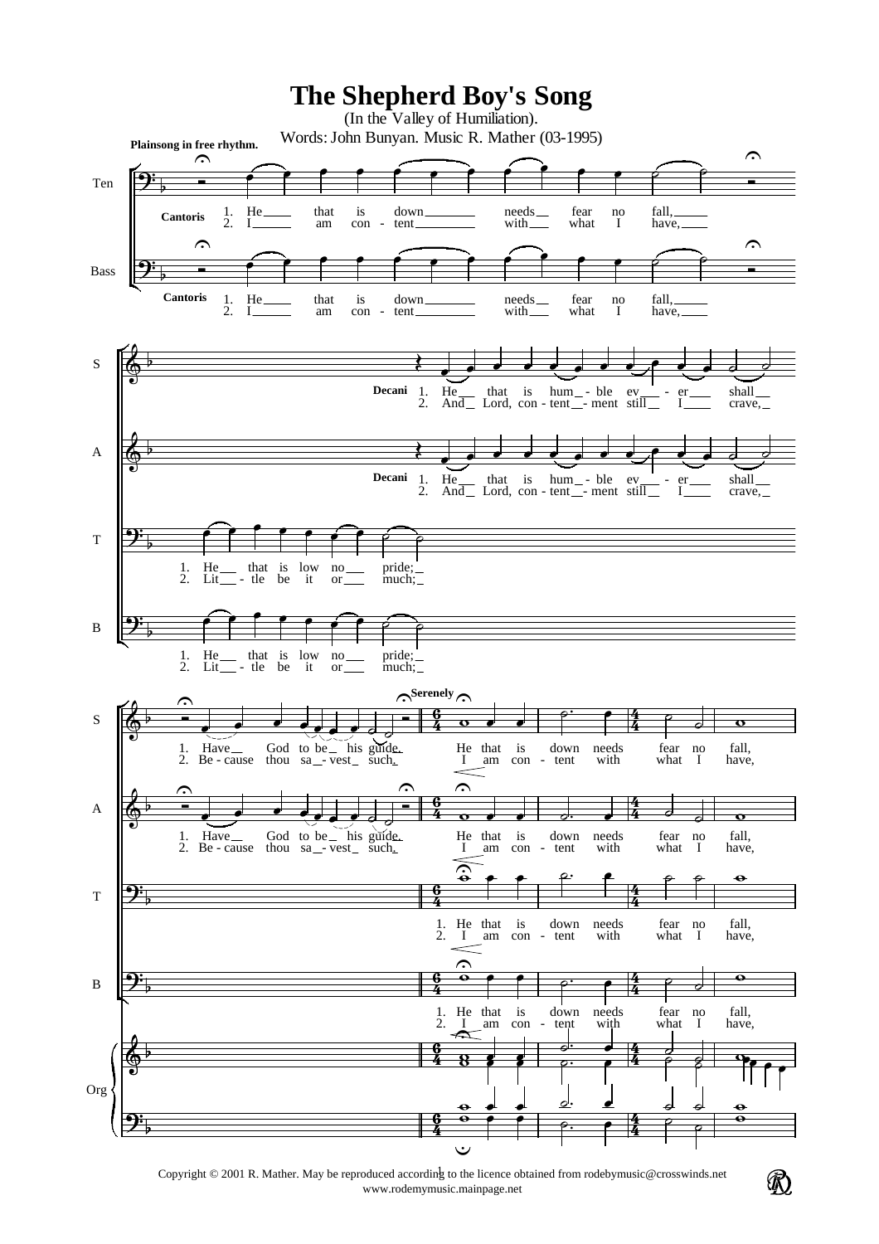

Copyright © 2001 R. Mather. May be reproduced according to the licence obtained from rodebymusic@crosswinds.net www.rodemymusic.mainpage.net

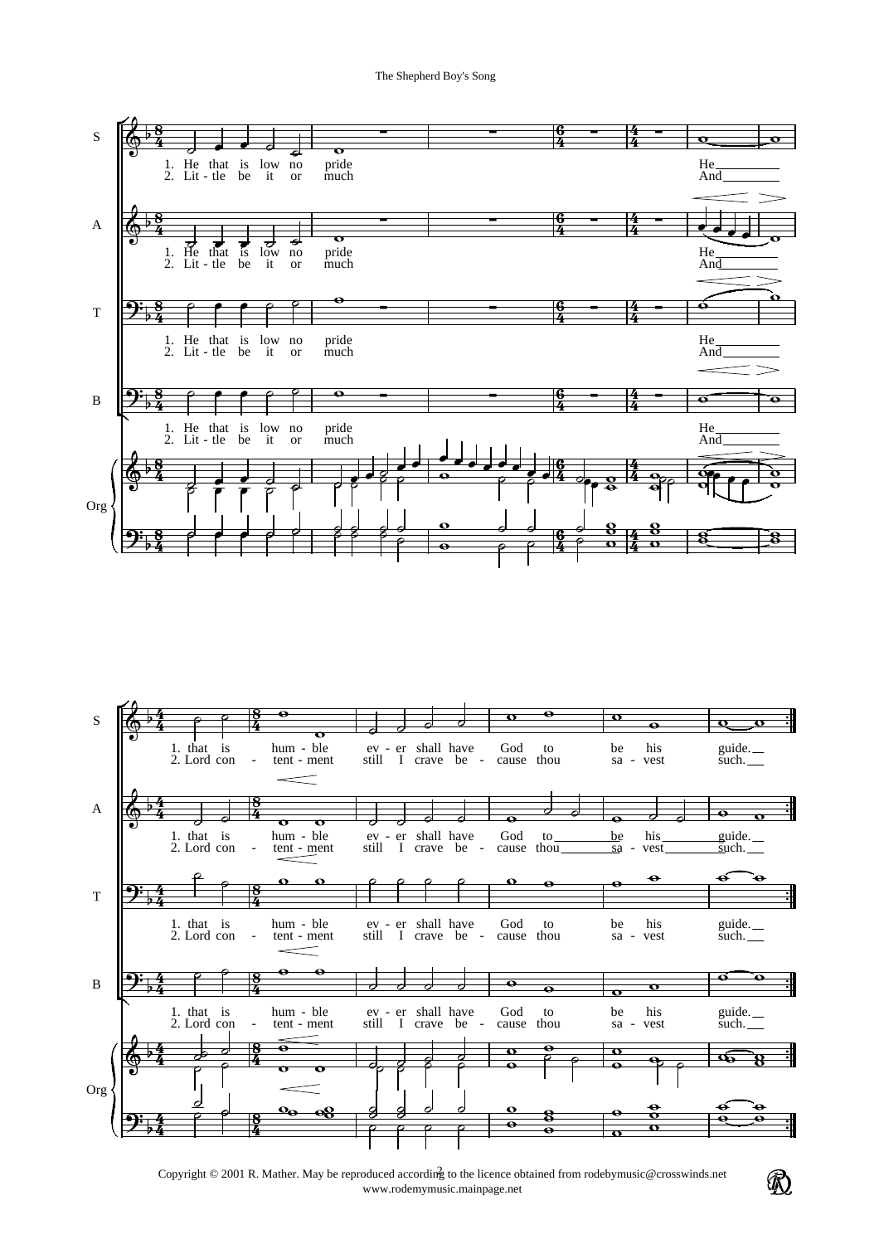



Copyright © 2001 R. Mather. May be reproduced according to the licence obtained from rodebymusic@crosswinds.net www.rodemymusic.mainpage.net

 $^{\circledR}$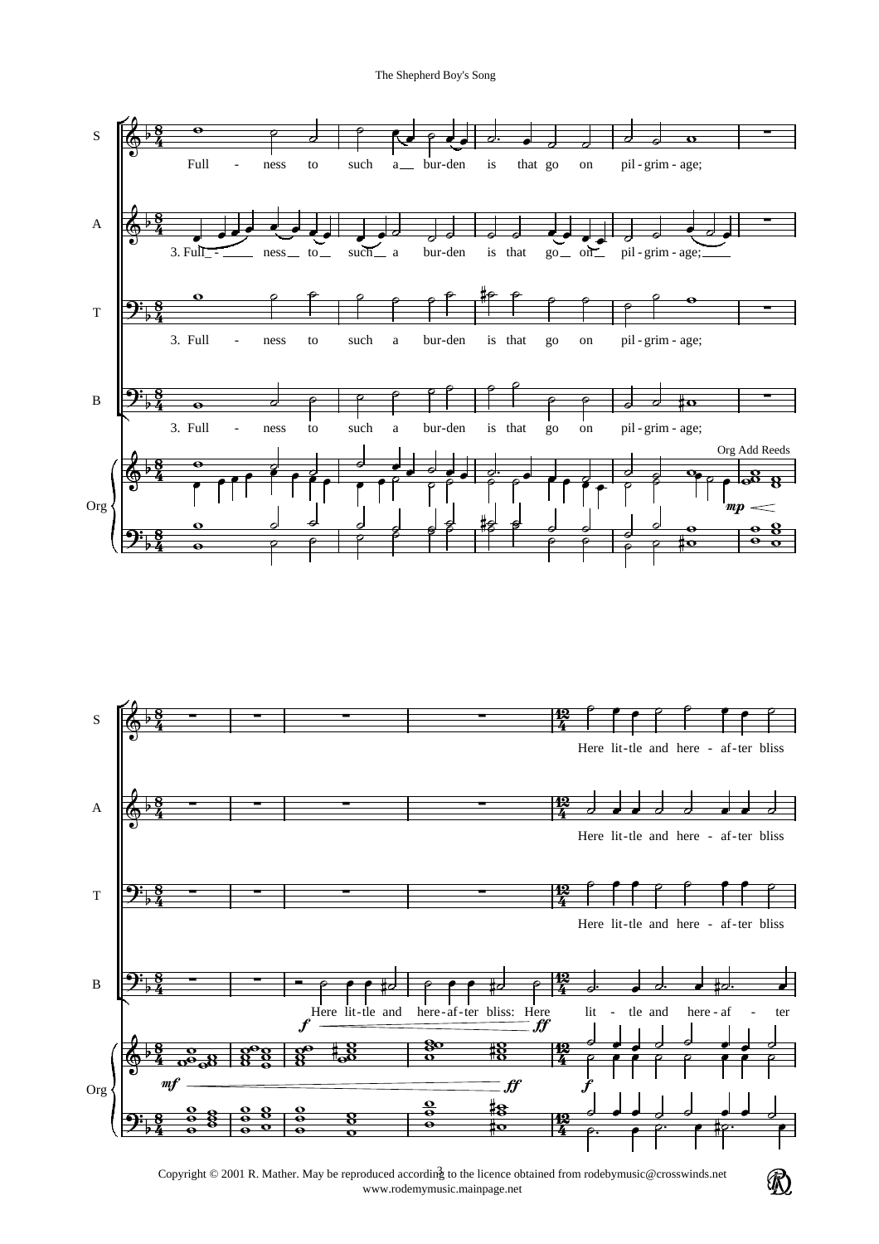The Shepherd Boy's Song







 $^{\circledR}$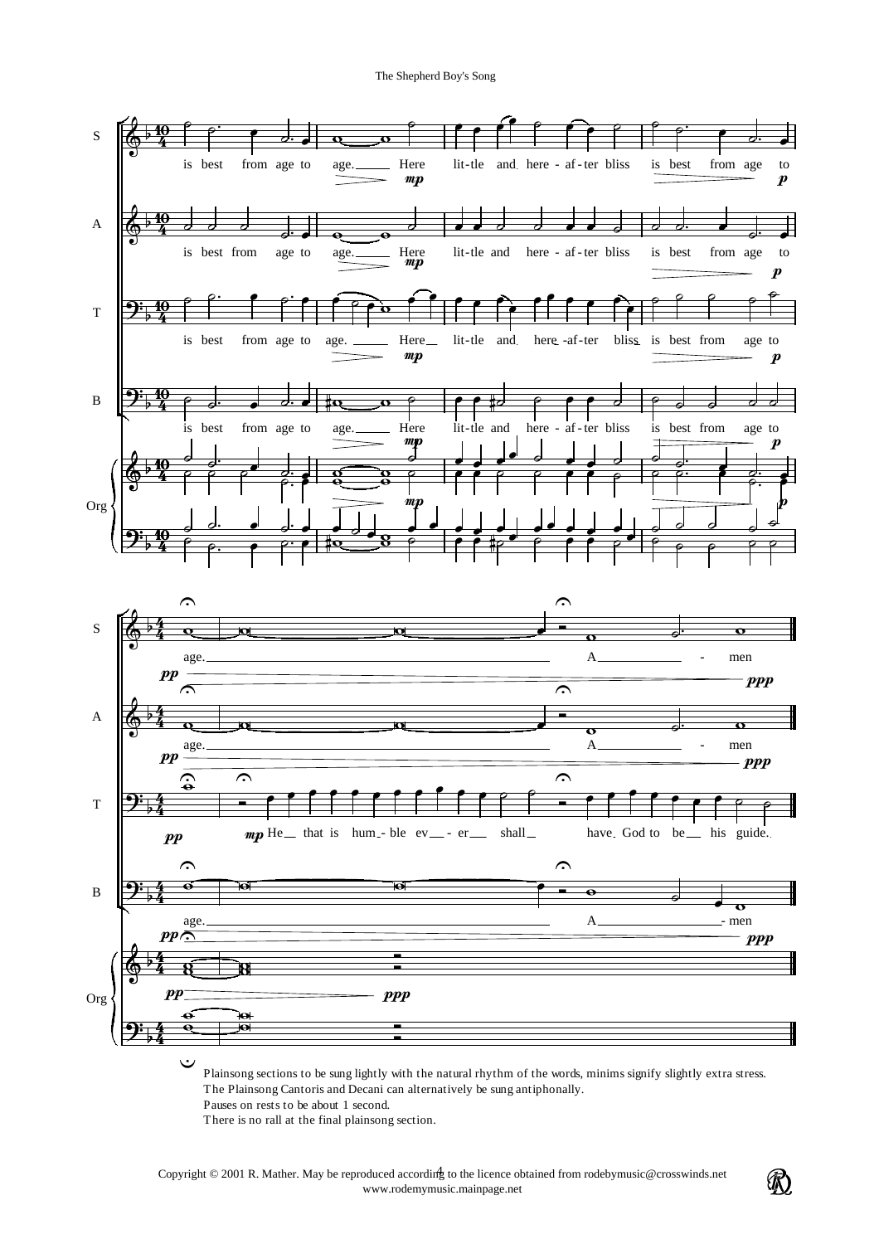

Pauses on rests to be about 1 second.

There is no rall at the final plainsong section.

 $\mathcal{R}$